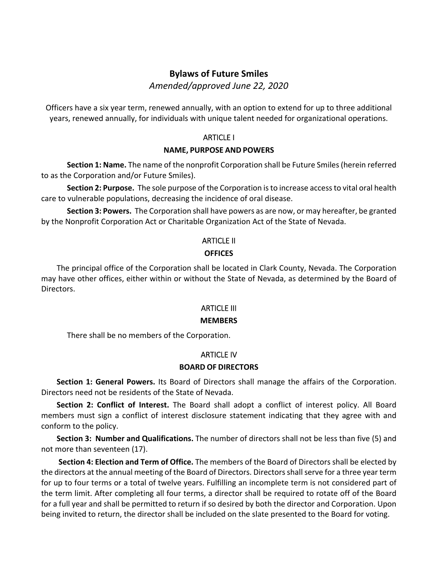## **Bylaws of Future Smiles**

*Amended/approved June 22, 2020*

Officers have a six year term, renewed annually, with an option to extend for up to three additional years, renewed annually, for individuals with unique talent needed for organizational operations.

## ARTICLE I

#### **NAME, PURPOSE AND POWERS**

**Section 1: Name.** The name of the nonprofit Corporation shall be Future Smiles(herein referred to as the Corporation and/or Future Smiles).

**Section 2: Purpose.** The sole purpose of the Corporation isto increase accessto vital oral health care to vulnerable populations, decreasing the incidence of oral disease.

**Section 3: Powers.** The Corporation shall have powers as are now, or may hereafter, be granted by the Nonprofit Corporation Act or Charitable Organization Act of the State of Nevada.

## ARTICLE II

### **OFFICES**

The principal office of the Corporation shall be located in Clark County, Nevada. The Corporation may have other offices, either within or without the State of Nevada, as determined by the Board of Directors.

## ARTICLE III

### **MEMBERS**

There shall be no members of the Corporation.

## ARTICLE IV

### **BOARD OF DIRECTORS**

**Section 1: General Powers.** Its Board of Directors shall manage the affairs of the Corporation. Directors need not be residents of the State of Nevada.

**Section 2: Conflict of Interest.** The Board shall adopt a conflict of interest policy. All Board members must sign a conflict of interest disclosure statement indicating that they agree with and conform to the policy.

**Section 3: Number and Qualifications.** The number of directors shall not be less than five (5) and not more than seventeen (17).

**Section 4: Election and Term of Office.** The members of the Board of Directors shall be elected by the directors at the annual meeting of the Board of Directors. Directors shall serve for a three year term for up to four terms or a total of twelve years. Fulfilling an incomplete term is not considered part of the term limit. After completing all four terms, a director shall be required to rotate off of the Board for a full year and shall be permitted to return if so desired by both the director and Corporation. Upon being invited to return, the director shall be included on the slate presented to the Board for voting.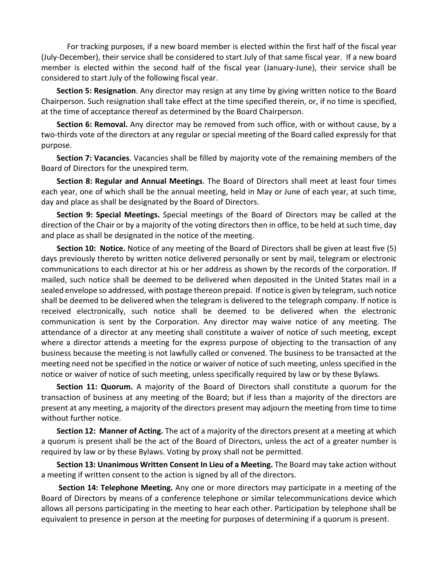For tracking purposes, if a new board member is elected within the first half of the fiscal year (July‐December), their service shall be considered to start July of that same fiscal year. If a new board member is elected within the second half of the fiscal year (January‐June), their service shall be considered to start July of the following fiscal year.

**Section 5: Resignation**. Any director may resign at any time by giving written notice to the Board Chairperson. Such resignation shall take effect at the time specified therein, or, if no time is specified, at the time of acceptance thereof as determined by the Board Chairperson.

**Section 6: Removal.** Any director may be removed from such office, with or without cause, by a two-thirds vote of the directors at any regular or special meeting of the Board called expressly for that purpose.

**Section 7: Vacancies***.* Vacancies shall be filled by majority vote of the remaining members of the Board of Directors for the unexpired term.

**Section 8: Regular and Annual Meetings**. The Board of Directors shall meet at least four times each year, one of which shall be the annual meeting, held in May or June of each year, at such time, day and place as shall be designated by the Board of Directors.

**Section 9: Special Meetings.** Special meetings of the Board of Directors may be called at the direction of the Chair or by a majority of the voting directors then in office, to be held at such time, day and place as shall be designated in the notice of the meeting.

**Section 10: Notice.** Notice of any meeting of the Board of Directors shall be given at least five (5) days previously thereto by written notice delivered personally or sent by mail, telegram or electronic communications to each director at his or her address as shown by the records of the corporation. If mailed, such notice shall be deemed to be delivered when deposited in the United States mail in a sealed envelope so addressed, with postage thereon prepaid. If notice is given by telegram, such notice shall be deemed to be delivered when the telegram is delivered to the telegraph company. If notice is received electronically, such notice shall be deemed to be delivered when the electronic communication is sent by the Corporation. Any director may waive notice of any meeting. The attendance of a director at any meeting shall constitute a waiver of notice of such meeting, except where a director attends a meeting for the express purpose of objecting to the transaction of any business because the meeting is not lawfully called or convened. The business to be transacted at the meeting need not be specified in the notice or waiver of notice of such meeting, unless specified in the notice or waiver of notice of such meeting, unless specifically required by law or by these Bylaws.

**Section 11: Quorum.** A majority of the Board of Directors shall constitute a quorum for the transaction of business at any meeting of the Board; but if less than a majority of the directors are present at any meeting, a majority of the directors present may adjourn the meeting from time to time without further notice.

**Section 12: Manner of Acting.** The act of a majority of the directors present at a meeting at which a quorum is present shall be the act of the Board of Directors, unless the act of a greater number is required by law or by these Bylaws. Voting by proxy shall not be permitted.

**Section 13: Unanimous Written Consent In Lieu of a Meeting.** The Board may take action without a meeting if written consent to the action is signed by all of the directors.

**Section 14: Telephone Meeting.** Any one or more directors may participate in a meeting of the Board of Directors by means of a conference telephone or similar telecommunications device which allows all persons participating in the meeting to hear each other. Participation by telephone shall be equivalent to presence in person at the meeting for purposes of determining if a quorum is present.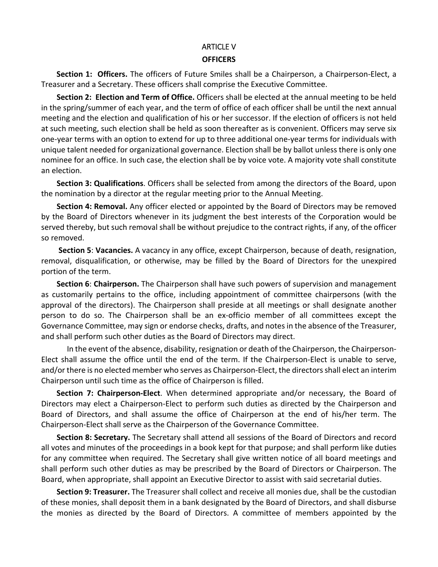# ARTICLE V

## **OFFICERS**

**Section 1: Officers.** The officers of Future Smiles shall be a Chairperson, a Chairperson-Elect, a Treasurer and a Secretary. These officers shall comprise the Executive Committee.

**Section 2: Election and Term of Office.** Officers shall be elected at the annual meeting to be held in the spring/summer of each year, and the term of office of each officer shall be until the next annual meeting and the election and qualification of his or her successor. If the election of officers is not held at such meeting, such election shall be held as soon thereafter as is convenient. Officers may serve six one‐year terms with an option to extend for up to three additional one‐year terms for individuals with unique talent needed for organizational governance. Election shall be by ballot unless there is only one nominee for an office. In such case, the election shall be by voice vote. A majority vote shall constitute an election.

**Section 3: Qualifications**. Officers shall be selected from among the directors of the Board, upon the nomination by a director at the regular meeting prior to the Annual Meeting.

**Section 4: Removal.** Any officer elected or appointed by the Board of Directors may be removed by the Board of Directors whenever in its judgment the best interests of the Corporation would be served thereby, but such removal shall be without prejudice to the contract rights, if any, of the officer so removed.

**Section 5**: **Vacancies.** A vacancy in any office, except Chairperson, because of death, resignation, removal, disqualification, or otherwise, may be filled by the Board of Directors for the unexpired portion of the term.

**Section 6**: **Chairperson.** The Chairperson shall have such powers of supervision and management as customarily pertains to the office, including appointment of committee chairpersons (with the approval of the directors). The Chairperson shall preside at all meetings or shall designate another person to do so. The Chairperson shall be an ex‐officio member of all committees except the Governance Committee, may sign or endorse checks, drafts, and notesin the absence of the Treasurer, and shall perform such other duties as the Board of Directors may direct.

In the event of the absence, disability, resignation or death of the Chairperson, the Chairperson‐ Elect shall assume the office until the end of the term. If the Chairperson‐Elect is unable to serve, and/or there is no elected member who serves as Chairperson-Elect, the directors shall elect an interim Chairperson until such time as the office of Chairperson is filled.

**Section 7: Chairperson‐Elect**. When determined appropriate and/or necessary, the Board of Directors may elect a Chairperson‐Elect to perform such duties as directed by the Chairperson and Board of Directors, and shall assume the office of Chairperson at the end of his/her term. The Chairperson‐Elect shall serve as the Chairperson of the Governance Committee.

**Section 8: Secretary.** The Secretary shall attend all sessions of the Board of Directors and record all votes and minutes of the proceedings in a book kept for that purpose; and shall perform like duties for any committee when required. The Secretary shall give written notice of all board meetings and shall perform such other duties as may be prescribed by the Board of Directors or Chairperson. The Board, when appropriate, shall appoint an Executive Director to assist with said secretarial duties.

**Section 9: Treasurer.** The Treasurer shall collect and receive all monies due, shall be the custodian of these monies, shall deposit them in a bank designated by the Board of Directors, and shall disburse the monies as directed by the Board of Directors. A committee of members appointed by the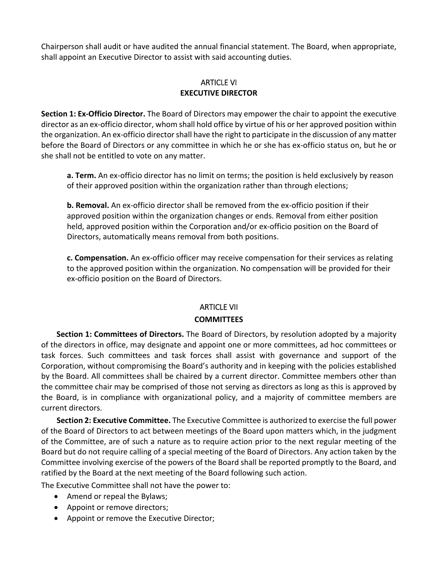Chairperson shall audit or have audited the annual financial statement. The Board, when appropriate, shall appoint an Executive Director to assist with said accounting duties.

## ARTICLE VI **EXECUTIVE DIRECTOR**

**Section 1: Ex‐Officio Director.** The Board of Directors may empower the chair to appoint the executive director as an ex‐officio director, whom shall hold office by virtue of his or her approved position within the organization. An ex-officio director shall have the right to participate in the discussion of any matter before the Board of Directors or any committee in which he or she has ex-officio status on, but he or she shall not be entitled to vote on any matter.

**a. Term.** An ex‐officio director has no limit on terms; the position is held exclusively by reason of their approved position within the organization rather than through elections;

**b. Removal.** An ex‐officio director shall be removed from the ex‐officio position if their approved position within the organization changes or ends. Removal from either position held, approved position within the Corporation and/or ex-officio position on the Board of Directors, automatically means removal from both positions.

**c. Compensation.** An ex‐officio officer may receive compensation for their services as relating to the approved position within the organization. No compensation will be provided for their ex‐officio position on the Board of Directors.

## ARTICLE VII **COMMITTEES**

**Section 1: Committees of Directors.** The Board of Directors, by resolution adopted by a majority of the directors in office, may designate and appoint one or more committees, ad hoc committees or task forces. Such committees and task forces shall assist with governance and support of the Corporation, without compromising the Board's authority and in keeping with the policies established by the Board. All committees shall be chaired by a current director. Committee members other than the committee chair may be comprised of those not serving as directors as long as this is approved by the Board, is in compliance with organizational policy, and a majority of committee members are current directors.

**Section 2: Executive Committee.** The Executive Committee is authorized to exercise the full power of the Board of Directors to act between meetings of the Board upon matters which, in the judgment of the Committee, are of such a nature as to require action prior to the next regular meeting of the Board but do not require calling of a special meeting of the Board of Directors. Any action taken by the Committee involving exercise of the powers of the Board shall be reported promptly to the Board, and ratified by the Board at the next meeting of the Board following such action.

The Executive Committee shall not have the power to:

- Amend or repeal the Bylaws;
- Appoint or remove directors;
- Appoint or remove the Executive Director;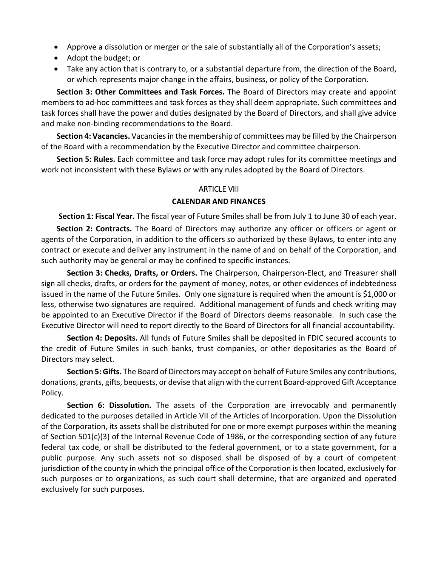- Approve a dissolution or merger or the sale of substantially all of the Corporation's assets;
- Adopt the budget; or
- Take any action that is contrary to, or a substantial departure from, the direction of the Board, or which represents major change in the affairs, business, or policy of the Corporation.

**Section 3: Other Committees and Task Forces.** The Board of Directors may create and appoint members to ad‐hoc committees and task forces as they shall deem appropriate. Such committees and task forces shall have the power and duties designated by the Board of Directors, and shall give advice and make non‐binding recommendations to the Board.

**Section 4: Vacancies.** Vacanciesin the membership of committees may be filled by the Chairperson of the Board with a recommendation by the Executive Director and committee chairperson.

**Section 5: Rules.** Each committee and task force may adopt rules for its committee meetings and work not inconsistent with these Bylaws or with any rules adopted by the Board of Directors.

# ARTICLE VIII **CALENDAR AND FINANCES**

**Section 1: Fiscal Year.** The fiscal year of Future Smiles shall be from July 1 to June 30 of each year.

**Section 2: Contracts.** The Board of Directors may authorize any officer or officers or agent or agents of the Corporation, in addition to the officers so authorized by these Bylaws, to enter into any contract or execute and deliver any instrument in the name of and on behalf of the Corporation, and such authority may be general or may be confined to specific instances.

**Section 3: Checks, Drafts, or Orders.** The Chairperson, Chairperson‐Elect, and Treasurer shall sign all checks, drafts, or orders for the payment of money, notes, or other evidences of indebtedness issued in the name of the Future Smiles. Only one signature is required when the amount is \$1,000 or less, otherwise two signatures are required. Additional management of funds and check writing may be appointed to an Executive Director if the Board of Directors deems reasonable. In such case the Executive Director will need to report directly to the Board of Directors for all financial accountability.

**Section 4: Deposits.** All funds of Future Smiles shall be deposited in FDIC secured accounts to the credit of Future Smiles in such banks, trust companies, or other depositaries as the Board of Directors may select.

**Section 5: Gifts.** The Board of Directors may accept on behalf of Future Smiles any contributions, donations, grants, gifts, bequests, or devise that align with the current Board‐approved Gift Acceptance Policy.

**Section 6: Dissolution.** The assets of the Corporation are irrevocably and permanently dedicated to the purposes detailed in Article VII of the Articles of Incorporation. Upon the Dissolution of the Corporation, its assets shall be distributed for one or more exempt purposes within the meaning of Section 501(c)(3) of the Internal Revenue Code of 1986, or the corresponding section of any future federal tax code, or shall be distributed to the federal government, or to a state government, for a public purpose. Any such assets not so disposed shall be disposed of by a court of competent jurisdiction of the county in which the principal office of the Corporation is then located, exclusively for such purposes or to organizations, as such court shall determine, that are organized and operated exclusively for such purposes.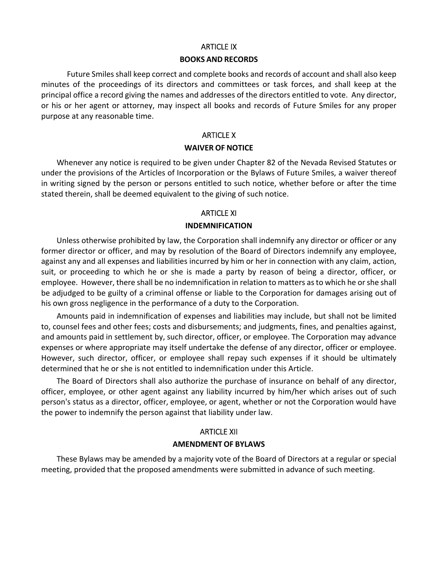#### ARTICLE IX

#### **BOOKS AND RECORDS**

Future Smiles shall keep correct and complete books and records of account and shall also keep minutes of the proceedings of its directors and committees or task forces, and shall keep at the principal office a record giving the names and addresses of the directors entitled to vote. Any director, or his or her agent or attorney, may inspect all books and records of Future Smiles for any proper purpose at any reasonable time.

## ARTICLE X **WAIVER OF NOTICE**

Whenever any notice is required to be given under Chapter 82 of the Nevada Revised Statutes or under the provisions of the Articles of Incorporation or the Bylaws of Future Smiles, a waiver thereof in writing signed by the person or persons entitled to such notice, whether before or after the time stated therein, shall be deemed equivalent to the giving of such notice.

## ARTICLE XI **INDEMNIFICATION**

Unless otherwise prohibited by law, the Corporation shall indemnify any director or officer or any former director or officer, and may by resolution of the Board of Directors indemnify any employee, against any and all expenses and liabilities incurred by him or her in connection with any claim, action, suit, or proceeding to which he or she is made a party by reason of being a director, officer, or employee. However, there shall be no indemnification in relation to matters asto which he orshe shall be adjudged to be guilty of a criminal offense or liable to the Corporation for damages arising out of his own gross negligence in the performance of a duty to the Corporation.

Amounts paid in indemnification of expenses and liabilities may include, but shall not be limited to, counsel fees and other fees; costs and disbursements; and judgments, fines, and penalties against, and amounts paid in settlement by, such director, officer, or employee. The Corporation may advance expenses or where appropriate may itself undertake the defense of any director, officer or employee. However, such director, officer, or employee shall repay such expenses if it should be ultimately determined that he or she is not entitled to indemnification under this Article.

The Board of Directors shall also authorize the purchase of insurance on behalf of any director, officer, employee, or other agent against any liability incurred by him/her which arises out of such person's status as a director, officer, employee, or agent, whether or not the Corporation would have the power to indemnify the person against that liability under law.

### ARTICLE XII

#### **AMENDMENT OF BYLAWS**

These Bylaws may be amended by a majority vote of the Board of Directors at a regular or special meeting, provided that the proposed amendments were submitted in advance of such meeting.